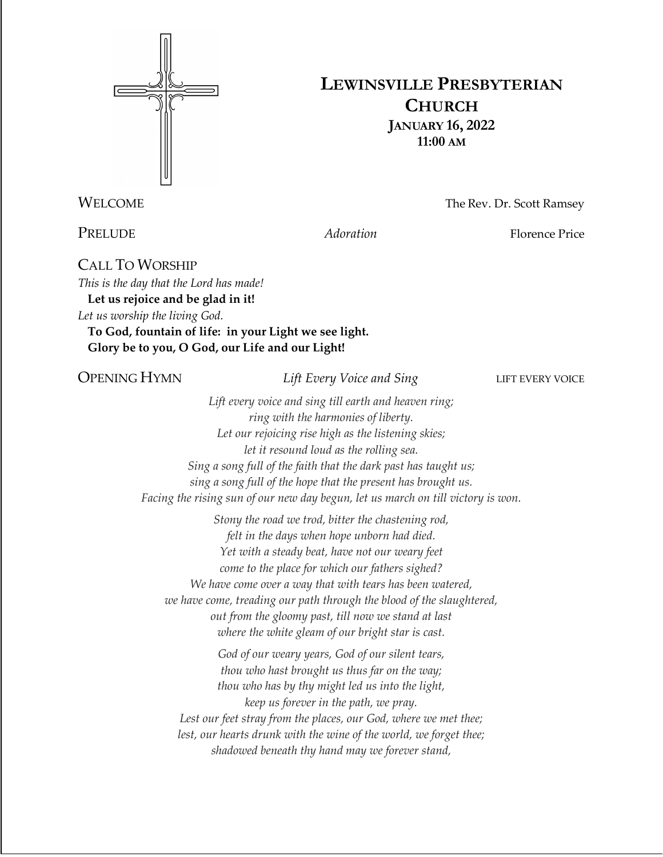

# **LEWINSVILLE PRESBYTERIAN CHURCH JANUARY 16, 2022 11:00 AM**

**WELCOME** The Rev. Dr. Scott Ramsey

PRELUDE *Adoration Adoration* Florence Price

# CALL TO WORSHIP *This is the day that the Lord has made!* **Let us rejoice and be glad in it!** *Let us worship the living God.*

#### **To God, fountain of life: in your Light we see light. Glory be to you, O God, our Life and our Light!**

**OPENING HYMN** *Lift Every Voice and Sing LIFT EVERY VOICE* 

*Lift every voice and sing till earth and heaven ring; ring with the harmonies of liberty. Let our rejoicing rise high as the listening skies; let it resound loud as the rolling sea. Sing a song full of the faith that the dark past has taught us; sing a song full of the hope that the present has brought us. Facing the rising sun of our new day begun, let us march on till victory is won.*

*Stony the road we trod, bitter the chastening rod, felt in the days when hope unborn had died. Yet with a steady beat, have not our weary feet come to the place for which our fathers sighed? We have come over a way that with tears has been watered, we have come, treading our path through the blood of the slaughtered, out from the gloomy past, till now we stand at last where the white gleam of our bright star is cast.*

*God of our weary years, God of our silent tears, thou who hast brought us thus far on the way; thou who has by thy might led us into the light, keep us forever in the path, we pray. Lest our feet stray from the places, our God, where we met thee; lest, our hearts drunk with the wine of the world, we forget thee; shadowed beneath thy hand may we forever stand,*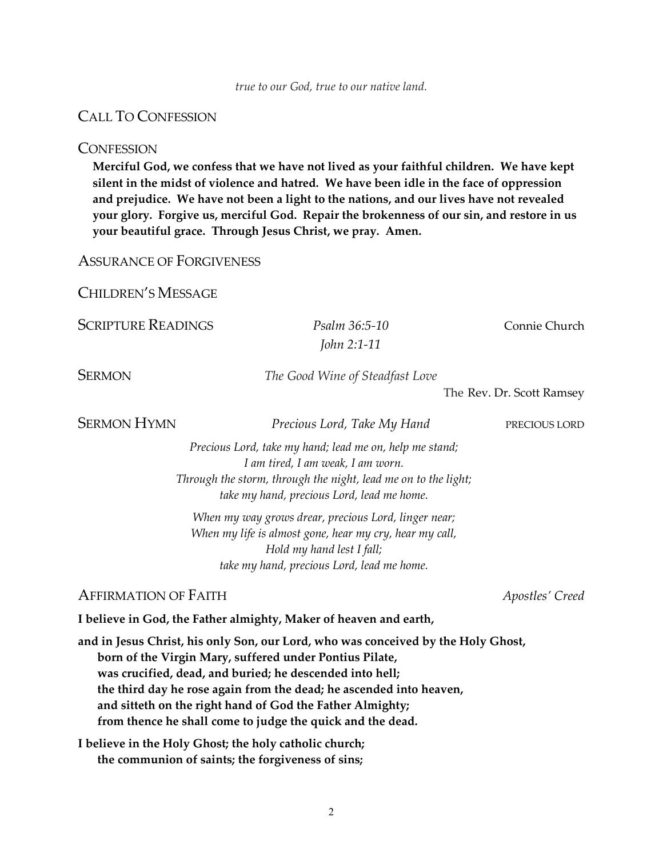*true to our God, true to our native land.*

## CALL TO CONFESSION

#### **CONFESSION**

**Merciful God, we confess that we have not lived as your faithful children. We have kept silent in the midst of violence and hatred. We have been idle in the face of oppression and prejudice. We have not been a light to the nations, and our lives have not revealed your glory. Forgive us, merciful God. Repair the brokenness of our sin, and restore in us your beautiful grace. Through Jesus Christ, we pray. Amen.**

### ASSURANCE OF FORGIVENESS

CHILDREN'S MESSAGE

| <b>SCRIPTURE READINGS</b>   | Psalm 36:5-10<br>John 2:1-11                                                                                                                                                                                                                                                                                                                                                                               | Connie Church             |
|-----------------------------|------------------------------------------------------------------------------------------------------------------------------------------------------------------------------------------------------------------------------------------------------------------------------------------------------------------------------------------------------------------------------------------------------------|---------------------------|
| <b>SERMON</b>               | The Good Wine of Steadfast Love                                                                                                                                                                                                                                                                                                                                                                            |                           |
|                             |                                                                                                                                                                                                                                                                                                                                                                                                            | The Rev. Dr. Scott Ramsey |
| <b>SERMON HYMN</b>          | Precious Lord, Take My Hand                                                                                                                                                                                                                                                                                                                                                                                | PRECIOUS LORD             |
|                             | Precious Lord, take my hand; lead me on, help me stand;<br>I am tired, I am weak, I am worn.<br>Through the storm, through the night, lead me on to the light;<br>take my hand, precious Lord, lead me home.                                                                                                                                                                                               |                           |
|                             | When my way grows drear, precious Lord, linger near;<br>When my life is almost gone, hear my cry, hear my call,<br>Hold my hand lest I fall;<br>take my hand, precious Lord, lead me home.                                                                                                                                                                                                                 |                           |
| <b>AFFIRMATION OF FAITH</b> |                                                                                                                                                                                                                                                                                                                                                                                                            | Apostles' Creed           |
|                             | I believe in God, the Father almighty, Maker of heaven and earth,                                                                                                                                                                                                                                                                                                                                          |                           |
|                             | and in Jesus Christ, his only Son, our Lord, who was conceived by the Holy Ghost,<br>born of the Virgin Mary, suffered under Pontius Pilate,<br>was crucified, dead, and buried; he descended into hell;<br>the third day he rose again from the dead; he ascended into heaven,<br>and sitteth on the right hand of God the Father Almighty;<br>from thence he shall come to judge the quick and the dead. |                           |

**I believe in the Holy Ghost; the holy catholic church; the communion of saints; the forgiveness of sins;**

2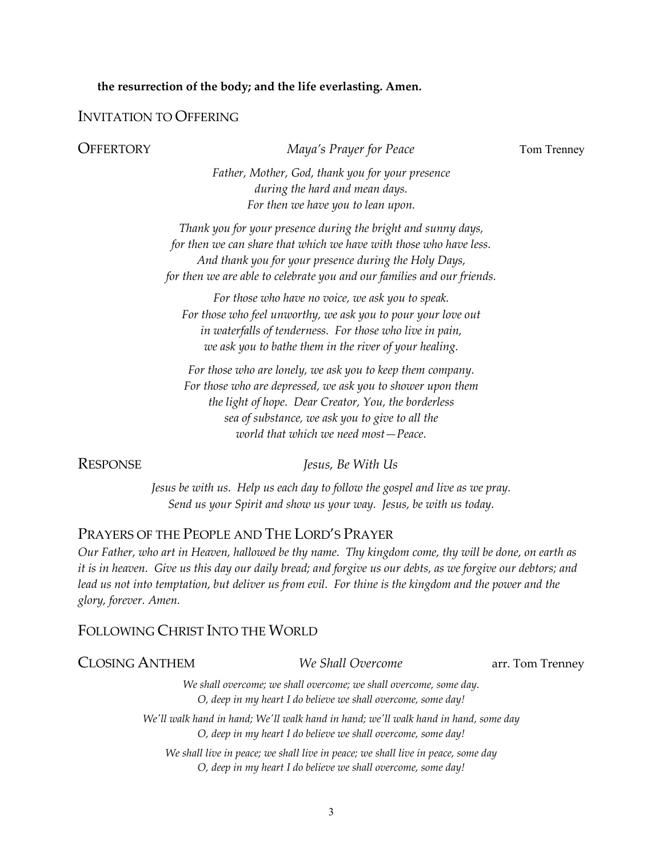#### **the resurrection of the body; and the life everlasting. Amen.**

#### INVITATION TO OFFERING

OFFERTORY *Maya's Prayer for Peace* Tom Trenney

*Father, Mother, God, thank you for your presence during the hard and mean days. For then we have you to lean upon.*

*Thank you for your presence during the bright and sunny days, for then we can share that which we have with those who have less. And thank you for your presence during the Holy Days, for then we are able to celebrate you and our families and our friends.*

*For those who have no voice, we ask you to speak. For those who feel unworthy, we ask you to pour your love out in waterfalls of tenderness. For those who live in pain, we ask you to bathe them in the river of your healing.*

*For those who are lonely, we ask you to keep them company. For those who are depressed, we ask you to shower upon them the light of hope. Dear Creator, You, the borderless sea of substance, we ask you to give to all the world that which we need most—Peace.*

RESPONSE *Jesus, Be With Us* 

*Jesus be with us. Help us each day to follow the gospel and live as we pray. Send us your Spirit and show us your way. Jesus, be with us today.*

#### PRAYERS OF THE PEOPLE AND THE LORD'S PRAYER

*Our Father, who art in Heaven, hallowed be thy name. Thy kingdom come, thy will be done, on earth as it is in heaven. Give us this day our daily bread; and forgive us our debts, as we forgive our debtors; and lead us not into temptation, but deliver us from evil. For thine is the kingdom and the power and the glory, forever. Amen.* 

#### FOLLOWING CHRIST INTO THE WORLD

### CLOSING ANTHEM *We Shall Overcome* arr. Tom Trenney

*We shall overcome; we shall overcome; we shall overcome, some day. O, deep in my heart I do believe we shall overcome, some day!*

*We'll walk hand in hand; We'll walk hand in hand; we'll walk hand in hand, some day O, deep in my heart I do believe we shall overcome, some day!*

*We shall live in peace; we shall live in peace; we shall live in peace, some day O, deep in my heart I do believe we shall overcome, some day!*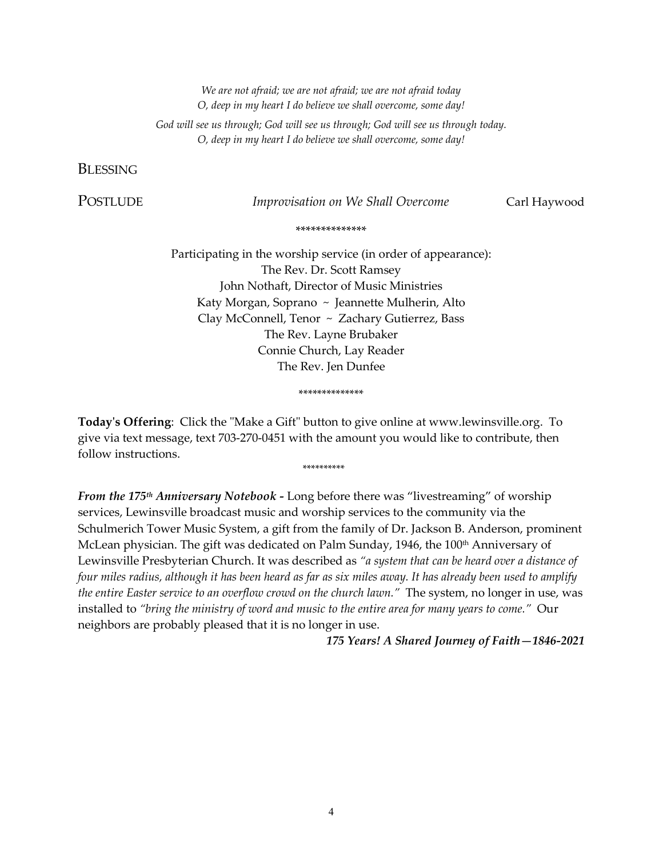*We are not afraid; we are not afraid; we are not afraid today O, deep in my heart I do believe we shall overcome, some day!*

*God will see us through; God will see us through; God will see us through today. O, deep in my heart I do believe we shall overcome, some day!*

**BLESSING** 

POSTLUDE *Improvisation on We Shall Overcome* Carl Haywood

\*\*\*\*\*\*\*\*\*\*\*\*\*\*

Participating in the worship service (in order of appearance): The Rev. Dr. Scott Ramsey John Nothaft, Director of Music Ministries Katy Morgan, Soprano ~ Jeannette Mulherin, Alto Clay McConnell, Tenor ~ Zachary Gutierrez, Bass The Rev. Layne Brubaker Connie Church, Lay Reader The Rev. Jen Dunfee

\*\*\*\*\*\*\*\*\*\*\*\*\*\*

**Today's Offering**: Click the "Make a Gift" button to give online at www.lewinsville.org. To give via text message, text 703-270-0451 with the amount you would like to contribute, then follow instructions.

\*\*\*\*\*\*\*\*\*\*

*From the 175th Anniversary Notebook -* Long before there was "livestreaming" of worship services, Lewinsville broadcast music and worship services to the community via the Schulmerich Tower Music System, a gift from the family of Dr. Jackson B. Anderson, prominent McLean physician. The gift was dedicated on Palm Sunday, 1946, the 100<sup>th</sup> Anniversary of Lewinsville Presbyterian Church. It was described as *"a system that can be heard over a distance of four miles radius, although it has been heard as far as six miles away. It has already been used to amplify the entire Easter service to an overflow crowd on the church lawn."* The system, no longer in use, was installed to *"bring the ministry of word and music to the entire area for many years to come."* Our neighbors are probably pleased that it is no longer in use.

*175 Years! A Shared Journey of Faith—1846-2021*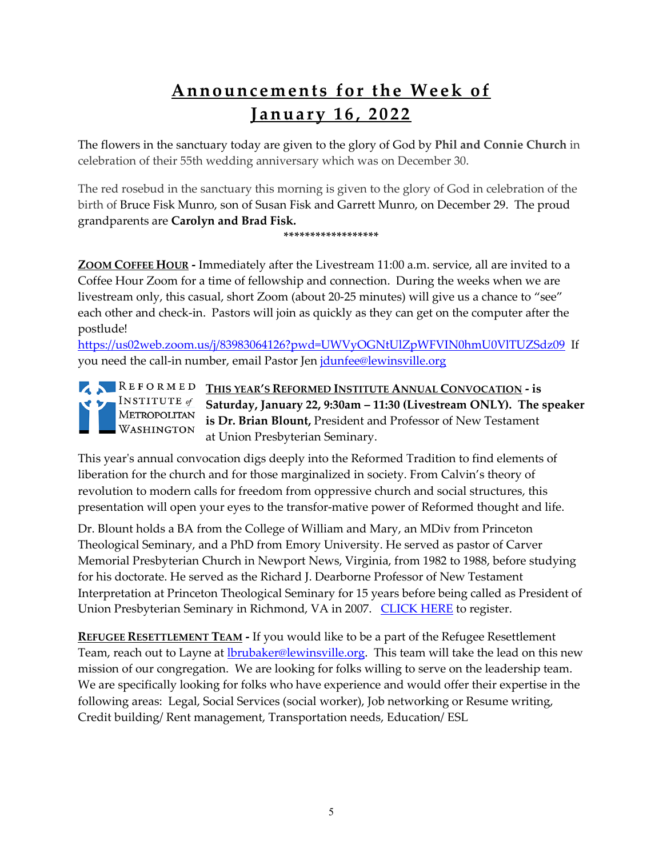# **Announcements for the Week of J anuary 1 6 , 2022**

The flowers in the sanctuary today are given to the glory of God by **Phil and Connie Church** in celebration of their 55th wedding anniversary which was on December 30.

The red rosebud in the sanctuary this morning is given to the glory of God in celebration of the birth of Bruce Fisk Munro, son of Susan Fisk and Garrett Munro, on December 29. The proud grandparents are **Carolyn and Brad Fisk. \*\*\*\*\*\*\*\*\*\*\*\*\*\*\*\*\*\***

**ZOOM COFFEE HOUR -** Immediately after the Livestream 11:00 a.m. service, all are invited to a Coffee Hour Zoom for a time of fellowship and connection. During the weeks when we are livestream only, this casual, short Zoom (about 20-25 minutes) will give us a chance to "see" each other and check-in. Pastors will join as quickly as they can get on the computer after the postlude!

<https://us02web.zoom.us/j/83983064126?pwd=UWVyOGNtUlZpWFVIN0hmU0VlTUZSdz09> If you need the call-in number, email Pastor Jen journfee@lewinsville.org

INSTITUTE of METROPOLITAN WASHINGTON

**THIS YEAR'S REFORMED INSTITUTE ANNUAL CONVOCATION - is Saturday, January 22, 9:30am – 11:30 (Livestream ONLY). The speaker is Dr. Brian Blount,** President and Professor of New Testament at Union Presbyterian Seminary.

This year's annual convocation digs deeply into the Reformed Tradition to find elements of liberation for the church and for those marginalized in society. From Calvin's theory of revolution to modern calls for freedom from oppressive church and social structures, this presentation will open your eyes to the transfor-mative power of Reformed thought and life.

Dr. Blount holds a BA from the College of William and Mary, an MDiv from Princeton Theological Seminary, and a PhD from Emory University. He served as pastor of Carver Memorial Presbyterian Church in Newport News, Virginia, from 1982 to 1988, before studying for his doctorate. He served as the Richard J. Dearborne Professor of New Testament Interpretation at Princeton Theological Seminary for 15 years before being called as President of Union Presbyterian Seminary in Richmond, VA in 2007. [CLICK HERE](https://reformedinstitute.org/event/2022-convocation-with-dr-brian-blount/#rsvp-now) to register.

**REFUGEE RESETTLEMENT TEAM -** If you would like to be a part of the Refugee Resettlement Team, reach out to Layne at [lbrubaker@lewinsville.org.](mailto:lbrubaker@lewinsville.org) This team will take the lead on this new mission of our congregation. We are looking for folks willing to serve on the leadership team. We are specifically looking for folks who have experience and would offer their expertise in the following areas: Legal, Social Services (social worker), Job networking or Resume writing, Credit building/ Rent management, Transportation needs, Education/ ESL